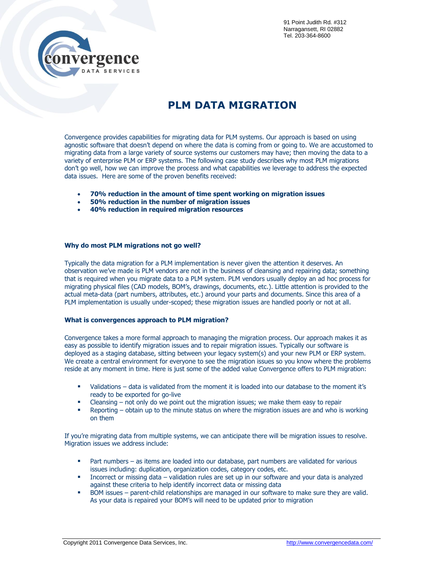## **PLM DATA MIGRATION**

Convergence provides capabilities for migrating data for PLM systems. Our approach is based on using agnostic software that doesn't depend on where the data is coming from or going to. We are accustomed to migrating data from a large variety of source systems our customers may have; then moving the data to a variety of enterprise PLM or ERP systems. The following case study describes why most PLM migrations don't go well, how we can improve the process and what capabilities we leverage to address the expected data issues. Here are some of the proven benefits received:

- **70% reduction in the amount of time spent working on migration issues**
- **50% reduction in the number of migration issues**
- **40% reduction in required migration resources**

## **Why do most PLM migrations not go well?**

TA SERVICES

Typically the data migration for a PLM implementation is never given the attention it deserves. An observation we've made is PLM vendors are not in the business of cleansing and repairing data; something that is required when you migrate data to a PLM system. PLM vendors usually deploy an ad hoc process for migrating physical files (CAD models, BOM's, drawings, documents, etc.). Little attention is provided to the actual meta-data (part numbers, attributes, etc.) around your parts and documents. Since this area of a PLM implementation is usually under-scoped; these migration issues are handled poorly or not at all.

## **What is convergences approach to PLM migration?**

Convergence takes a more formal approach to managing the migration process. Our approach makes it as easy as possible to identify migration issues and to repair migration issues. Typically our software is deployed as a staging database, sitting between your legacy system(s) and your new PLM or ERP system. We create a central environment for everyone to see the migration issues so you know where the problems reside at any moment in time. Here is just some of the added value Convergence offers to PLM migration:

- Validations data is validated from the moment it is loaded into our database to the moment it's ready to be exported for go-live
- **EXED F** Cleansing not only do we point out the migration issues; we make them easy to repair
- **Parager 1** Reporting obtain up to the minute status on where the migration issues are and who is working on them

If you're migrating data from multiple systems, we can anticipate there will be migration issues to resolve. Migration issues we address include:

- **Part numbers as items are loaded into our database, part numbers are validated for various** issues including: duplication, organization codes, category codes, etc.
- **Incorrect or missing data validation rules are set up in our software and your data is analyzed** against these criteria to help identify incorrect data or missing data
- **BOM issues parent-child relationships are managed in our software to make sure they are valid.** As your data is repaired your BOM's will need to be updated prior to migration